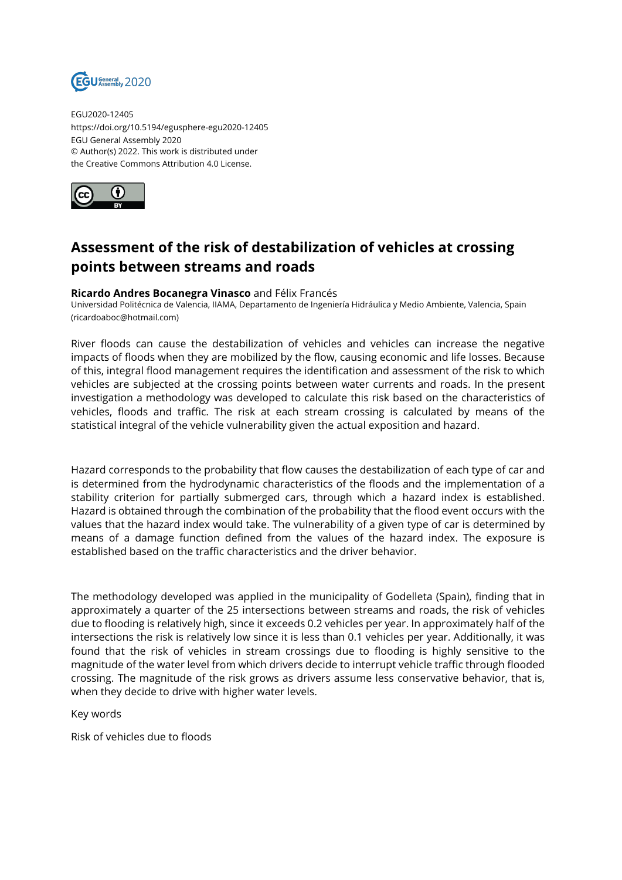

EGU2020-12405 https://doi.org/10.5194/egusphere-egu2020-12405 EGU General Assembly 2020 © Author(s) 2022. This work is distributed under the Creative Commons Attribution 4.0 License.



## **Assessment of the risk of destabilization of vehicles at crossing points between streams and roads**

## **Ricardo Andres Bocanegra Vinasco** and Félix Francés

Universidad Politécnica de Valencia, IIAMA, Departamento de Ingeniería Hidráulica y Medio Ambiente, Valencia, Spain (ricardoaboc@hotmail.com)

River floods can cause the destabilization of vehicles and vehicles can increase the negative impacts of floods when they are mobilized by the flow, causing economic and life losses. Because of this, integral flood management requires the identification and assessment of the risk to which vehicles are subjected at the crossing points between water currents and roads. In the present investigation a methodology was developed to calculate this risk based on the characteristics of vehicles, floods and traffic. The risk at each stream crossing is calculated by means of the statistical integral of the vehicle vulnerability given the actual exposition and hazard.

Hazard corresponds to the probability that flow causes the destabilization of each type of car and is determined from the hydrodynamic characteristics of the floods and the implementation of a stability criterion for partially submerged cars, through which a hazard index is established. Hazard is obtained through the combination of the probability that the flood event occurs with the values that the hazard index would take. The vulnerability of a given type of car is determined by means of a damage function defined from the values of the hazard index. The exposure is established based on the traffic characteristics and the driver behavior.

The methodology developed was applied in the municipality of Godelleta (Spain), finding that in approximately a quarter of the 25 intersections between streams and roads, the risk of vehicles due to flooding is relatively high, since it exceeds 0.2 vehicles per year. In approximately half of the intersections the risk is relatively low since it is less than 0.1 vehicles per year. Additionally, it was found that the risk of vehicles in stream crossings due to flooding is highly sensitive to the magnitude of the water level from which drivers decide to interrupt vehicle traffic through flooded crossing. The magnitude of the risk grows as drivers assume less conservative behavior, that is, when they decide to drive with higher water levels.

Key words

Risk of vehicles due to floods